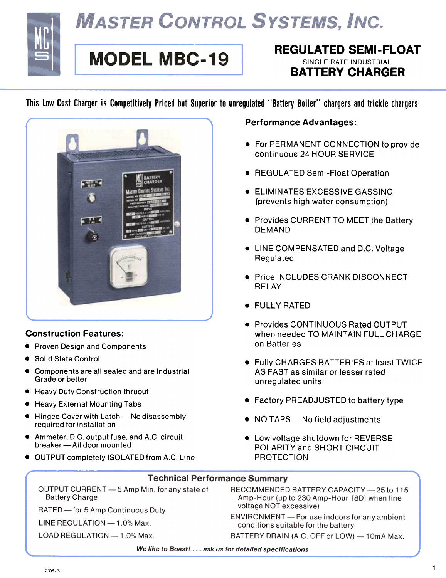

# **MASTER CONTROL SYSTEMS, INC.**

## **MODEL MBC-19**

### REGULATED SEMI-FLOAT SINGLE RATE INDUSTRIAL **BATTERY CHARGER**

This Low Cost Charger is Competitively Priced but Superior to unregulated "Battery Boiler" chargers and trickle chargers.



#### Construction Features:

- **Proven Design and Components**
- . Solid State Control
- . Components are all sealed and are Industrial Grade or better
- Heavy Duty Construction thruout
- . Heavy External Mounting Tabs
- Hinged Cover with Latch No disassembly required for installation
- . Ammeter, D.C. output fuse, and A.C. circuit breaker - All door mounted
- . OUTPUT completely ISOLATED from A.C. Line

#### Performance Advantages:

- . For PERMANENT CONNECTION to provide continuous 24 HOUR SERVICE
- **REGULATED Semi-Float Operation**
- . ELIMINATES EXCESSIVE GASSING (prevents high water consumption)
- **Provides CURRENT TO MEET the Battery** DEMAND
- . LINE COMPENSATED and D.C. Voltage Regulated
- **.** Price INCLUDES CRANK DISCONNECT **RELAY**
- . FULLY RATED
- . Provides CONTINUOUS Rated OUTPUT when needed TO MAINTAIN FULL CHARGE on Batteries
- . Fully CHARGES BATTERIES at least TWICE AS FAST as similar or lesser rated unregulated units
- Factory PREADJUSTED to battery type
- NO TAPS No field adjustments
- Low voltage shutdown for REVERSE POLARITY and SHORT CIRCUIT PROTECTION

#### **Technical Performance Summary**

OUTPUT CURRENT - 5 Amp Min. for any state of **Battery Charge** 

RATED - for 5 Amp Continuous Duty

LINE REGULATION - 1.0% Max.

LOAD REGULATION - 1.0% Max.

- RECOMMENDED BATTERY CAPACITY 25 to 115 Amp-Hour (up to 230 Amp-Hour [8D] when line voltage NOT excessive)
- ENVIRONMENT For use indoors for any ambient conditions suitable for the battery

BATTERY DRAIN (A.C. OFF or LOW) - 10mA Max.

We like to Boast! ... ask us for detailed specifications